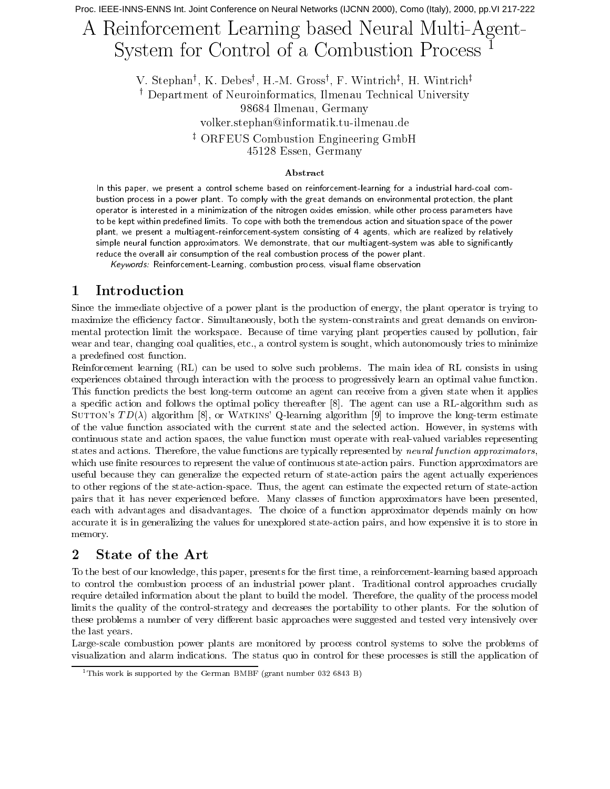Proc. IEEE-INNS-ENNS Int. Joint Conference on Neural Networks (IJCNN 2000), Como (Italy), 2000, pp.VI 217-222

# A Reinforcement Learning based Neural Multi-Agent-System for Control of a Combustion Process

V. Stephan<sup>†</sup>, K. Debes<sup>†</sup>, H.-M. Gross<sup>†</sup>, F. Wintrich<sup>‡</sup>, H. Wintrich<sup>‡</sup>

<sup>†</sup> Department of Neuroinformatics, Ilmenau Technical University

98684 Ilmenau, Germany

volker.stephan@informatik.tu-ilmenau.de

<sup>‡</sup> ORFEUS Combustion Engineering GmbH 45128 Essen, Germany

### Abstract

In this paper, we present a control scheme based on reinforcement-learning for a industrial hard-coal combustion process in a power plant. To comply with the great demands on environmental protection, the plant operator is interested in a minimization of the nitrogen oxides emission, while other process parameters have to be kept within predefined limits. To cope with both the tremendous action and situation space of the power plant, we present a multiagent-reinforcement-system consisting of 4 agents, which are realized by relatively simple neural function approximators. We demonstrate, that our multiagent-system was able to significantly reduce the overall air consumption of the real combustion process of the power plant.

Keywords: Reinforcement-Learning, combustion process, visual flame observation

#### Introduction  $\mathbf 1$

Since the immediate objective of a power plant is the production of energy, the plant operator is trying to maximize the efficiency factor. Simultaneously, both the system-constraints and great demands on environmental protection limit the workspace. Because of time varying plant properties caused by pollution, fair wear and tear, changing coal qualities, etc., a control system is sought, which autonomously tries to minimize a predefined cost function.

Reinforcement learning (RL) can be used to solve such problems. The main idea of RL consists in using experiences obtained through interaction with the process to progressively learn an optimal value function. This function predicts the best long-term outcome an agent can receive from a given state when it applies a specific action and follows the optimal policy thereafter [8]. The agent can use a RL-algorithm such as SUTTON's  $TD(\lambda)$  algorithm [8], or WATKINS' Q-learning algorithm [9] to improve the long-term estimate of the value function associated with the current state and the selected action. However, in systems with continuous state and action spaces, the value function must operate with real-valued variables representing states and actions. Therefore, the value functions are typically represented by neural function approximators, which use finite resources to represent the value of continuous state-action pairs. Function approximators are useful because they can generalize the expected return of state-action pairs the agent actually experiences to other regions of the state-action-space. Thus, the agent can estimate the expected return of state-action pairs that it has never experienced before. Many classes of function approximators have been presented, each with advantages and disadvantages. The choice of a function approximator depends mainly on how accurate it is in generalizing the values for unexplored state-action pairs, and how expensive it is to store in memory.

### **State of the Art**  $\overline{2}$

To the best of our knowledge, this paper, presents for the first time, a reinforcement-learning based approach to control the combustion process of an industrial power plant. Traditional control approaches crucially require detailed information about the plant to build the model. Therefore, the quality of the process model limits the quality of the control-strategy and decreases the portability to other plants. For the solution of these problems a number of very different basic approaches were suggested and tested very intensively over the last years.

Large-scale combustion power plants are monitored by process control systems to solve the problems of visualization and alarm indications. The status quo in control for these processes is still the application of

 $^1$ This work is supported by the German BMBF (grant number 032 6843 B)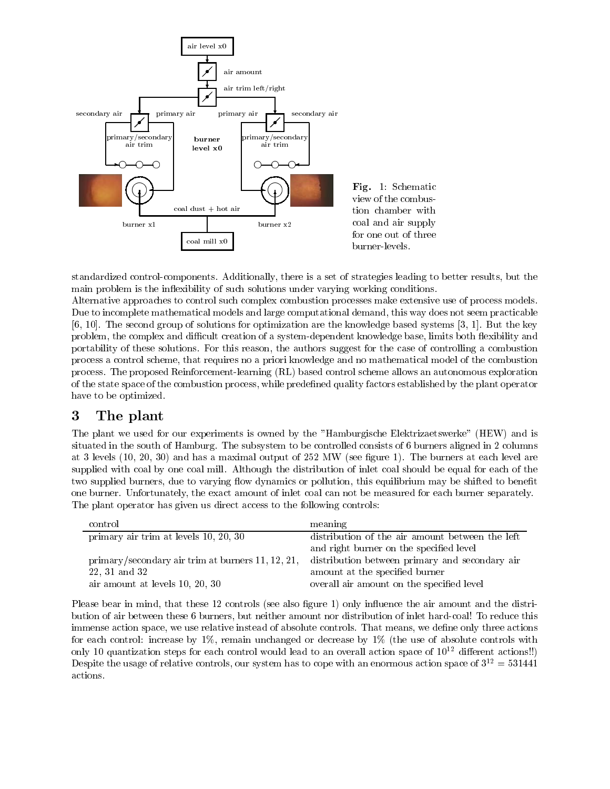

standardized control-components. Additionally, there is a set of strategies leading to better results, but the main problem is the inflexibility of such solutions under varying working conditions.

Alternative approaches to control such complex combustion processes make extensive use of process models. Due to incomplete mathematical models and large computational demand, this way does not seem practicable  $[6, 10]$ . The second group of solutions for optimization are the knowledge based systems [3, 1]. But the key problem, the complex and difficult creation of a system-dependent knowledge base, limits both flexibility and portability of these solutions. For this reason, the authors suggest for the case of controlling a combustion process a control scheme, that requires no a priori knowledge and no mathematical model of the combustion process. The proposed Reinforcement-learning (RL) based control scheme allows an autonomous exploration of the state space of the combustion process, while predefined quality factors established by the plant operator have to be optimized.

### 3 The plant

The plant we used for our experiments is owned by the "Hamburgische Elektrizaetswerke" (HEW) and is situated in the south of Hamburg. The subsystem to be controlled consists of 6 burners aligned in 2 columns at 3 levels  $(10, 20, 30)$  and has a maximal output of  $252 \text{ MW}$  (see figure 1). The burners at each level are supplied with coal by one coal mill. Although the distribution of inlet coal should be equal for each of the two supplied burners, due to varying flow dynamics or pollution, this equilibrium may be shifted to benefit one burner. Unfortunately, the exact amount of inlet coal can not be measured for each burner separately. The plant operator has given us direct access to the following controls:

| control                                                     | meaning                                         |
|-------------------------------------------------------------|-------------------------------------------------|
| primary air trim at levels 10, 20, 30                       | distribution of the air amount between the left |
|                                                             | and right burner on the specified level         |
| $\text{primary/secondary air trim at burners } 11, 12, 21,$ | distribution between primary and secondary air  |
| 22, 31 and 32                                               | amount at the specified burner                  |
| air amount at levels 10, 20, 30                             | overall air amount on the specified level       |

Please bear in mind, that these 12 controls (see also figure 1) only influence the air amount and the distribution of air between these 6 burners, but neither amount nor distribution of inlet hard-coal! To reduce this immense action space, we use relative instead of absolute controls. That means, we define only three actions for each control: increase by  $1\%$ , remain unchanged or decrease by  $1\%$  (the use of absolute controls with only 10 quantization steps for each control would lead to an overall action space of  $10^{12}$  different actions!!) Despite the usage of relative controls, our system has to cope with an enormous action space of  $3^{12} = 531441$ actions.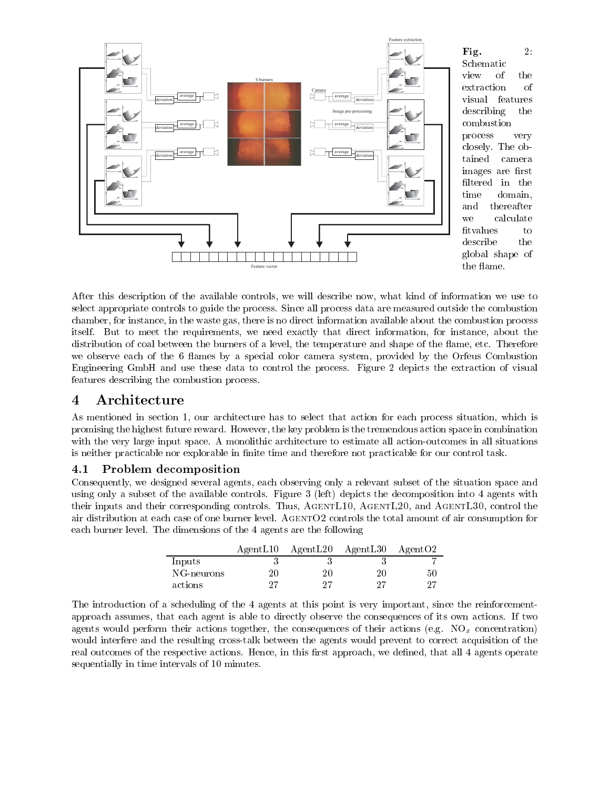

 $\mathbf{r}$  $\blacksquare$  . The contract of  $\blacksquare$  . The contract of the contract of the contract of the contract of the contract of the contract of the contract of the contract of the contract of the contract of the contract of the contrac  $\blacksquare$  . The contract of the contract of the contract of the contract of the contract of the contract of the contract of the contract of the contract of the contract of the contract of the contract of the contract of the - - - - - -  ---   3 %  5 3  - -  D E- 9-- F, -- ; - - -  $\mathbf{r}$  -  $\mathbf{r}$  -  $\mathbf{r}$  -  $\mathbf{r}$  -  $\mathbf{r}$  -  $\mathbf{r}$  -  $\mathbf{r}$  -  $\mathbf{r}$  -  $\mathbf{r}$  -  $\mathbf{r}$  -  $\mathbf{r}$  -  $\mathbf{r}$  -  $\mathbf{r}$  -  $\mathbf{r}$  -  $\mathbf{r}$  -  $\mathbf{r}$  -  $\mathbf{r}$  -  $\mathbf{r}$  -  $\mathbf{r}$  -  $\mathbf{r}$  -

## 

results the contract of the contract of the contract of the contract of the contract of the contract of the con -- - ,  - - - - - - - 2 -- - - - - - - - - -   - - - - 

### 

 $\mathbf{E} = \mathbf{E} \cdot \mathbf{E} = \mathbf{E} \cdot \mathbf{E} = \mathbf{E} \cdot \mathbf{E} = \mathbf{E} \cdot \mathbf{E} = \mathbf{E} \cdot \mathbf{E} = \mathbf{E} \cdot \mathbf{E} = \mathbf{E} \cdot \mathbf{E} = \mathbf{E} \cdot \mathbf{E} = \mathbf{E} \cdot \mathbf{E} = \mathbf{E} \cdot \mathbf{E} = \mathbf{E} \cdot \mathbf{E} = \mathbf{E} \cdot \mathbf{E} = \mathbf{E} \cdot \mathbf{E} = \mathbf{E} \cdot \mathbf{E} = \mathbf$ -  -  -- 7 "\$ - -- - C - - - - - %  
 
 - ---   - -  $\mathbf{C}$ 

|            |    |       | $AgentL10$ $AgentL20$ $AgentL30$ $AgentO2$ |    |
|------------|----|-------|--------------------------------------------|----|
| Inputs     |    |       |                                            |    |
| NG-neurons | 20 | 20    | 20                                         | 50 |
| actions    | 97 | רי רי | 97                                         | רי |

 $\mathbf{A}$  . The set of  $\mathbf{A}$  is the set of  $\mathbf{A}$  is the set of  $\mathbf{A}$  is the set of  $\mathbf{A}$  is the set of  $\mathbf{A}$  $\blacksquare$  . The contract of the contract of the contract of the contract of the contract of the contract of the contract of the contract of the contract of the contract of the contract of the contract of the contract of the  $\mathbf{A}$  is a set of  $\mathbf{A}$  is a set of  $\mathbf{A}$  is a set of  $\mathbf{A}$  is a set of  $\mathbf{A}$  $\mathbf{A}$  , and the contract of  $\mathbf{A}$  , and the contract of  $\mathbf{A}$  , and the contract of  $\mathbf{A}$  - - , - - C - - - - 06 -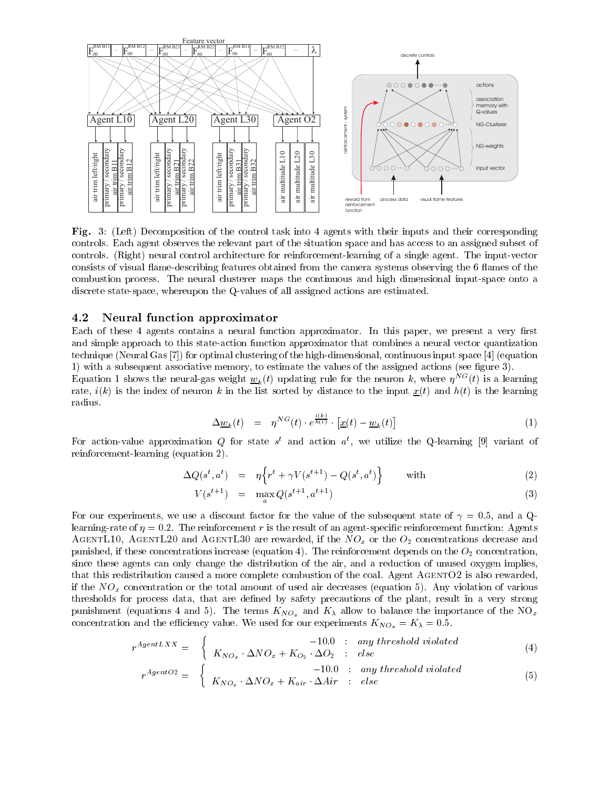

Fig. 3: (Left) Decomposition of the control task into 4 agents with their inputs and their corresponding controls. Each agent observes the relevant part of the situation space and has access to an assigned subset of controls. (Right) neural control architecture for reinforcement-learning of a single agent. The input-vector consists of visual flame-describing features obtained from the camera systems observing the 6 flames of the combustion process. The neural clusterer maps the continuous and high dimensional input-space onto a discrete state-space, whereupon the Q-values of all assigned actions are estimated.

#### Neural function approximator 4.2

Each of these 4 agents contains a neural function approximator. In this paper, we present a very first and simple approach to this state-action function approximator that combines a neural vector quantization technique (Neural Gas [7]) for optimal clustering of the high-dimensional, continuous input space [4] (equation 1) with a subsequent associative memory, to estimate the values of the assigned actions (see figure 3).

Equation 1 shows the neural-gas weight  $\underline{w}_k(t)$  updating rule for the neuron k, where  $\eta^{NG}(t)$  is a learning rate,  $i(k)$  is the index of neuron k in the list sorted by distance to the input  $\underline{x}(t)$  and  $h(t)$  is the learning radius.

$$
\Delta \underline{w}_k(t) = \eta^{NG}(t) \cdot e^{\frac{i(k)}{h(t)}} \cdot \left[ \underline{x}(t) - \underline{w}_k(t) \right] \tag{1}
$$

For action-value approximation Q for state  $s^t$  and action  $a^t$ , we utilize the Q-learning [9] variant of reinforcement-learning (equation 2).

$$
\Delta Q(s^t, a^t) = \eta \Big\{ r^t + \gamma V(s^{t+1}) - Q(s^t, a^t) \Big\} \quad \text{with} \quad (2)
$$

$$
V(s^{t+1}) = \max Q(s^{t+1}, a^{t+1})
$$
\n(3)

For our experiments, we use a discount factor for the value of the subsequent state of  $\gamma = 0.5$ , and a Qlearning-rate of  $\eta = 0.2$ . The reinforcement r is the result of an agent-specific reinforcement function: Agents AGENTL10, AGENTL20 and AGENTL30 are rewarded, if the  $NO_x$  or the  $O_2$  concentrations decrease and punished, if these concentrations increase (equation 4). The reinforcement depends on the  $O_2$  concentration. since these agents can only change the distribution of the air, and a reduction of unused oxygen implies, that this redistribution caused a more complete combustion of the coal. Agent AGENTO2 is also rewarded, if the  $NO_x$  concentration or the total amount of used air decreases (equation 5). Any violation of various thresholds for process data, that are defined by safety precautions of the plant, result in a very strong punishment (equations 4 and 5). The terms  $K_{NO_x}$  and  $K_{\lambda}$  allow to balance the importance of the NO<sub>x</sub> concentration and the efficiency value. We used for our experiments  $K_{NO_x} = K_{\lambda} = 0.5$ .

$$
r^{AgentLXX} = \begin{cases} -10.0 : any threshold violated\\ K_{NO_x} \cdot \Delta NO_x + K_{O_2} \cdot \Delta O_2 : else \end{cases}
$$
 (4)

$$
r^{AgentO2} = \begin{cases} -10.0 : any threshold violated\\ K_{NO_x} \cdot \Delta NO_x + K_{air} \cdot \Delta Air : else \end{cases}
$$
 (5)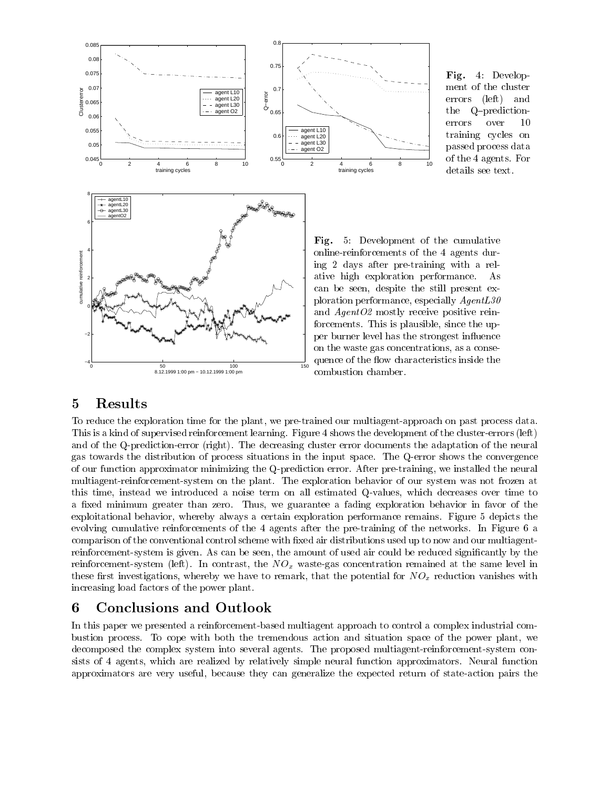

Fig.  $\blacksquare$   $\blacksquare$   $\blacksquare$   $\blacksquare$   $\blacksquare$   $\blacksquare$   $\blacksquare$   $\blacksquare$   $\blacksquare$   $\blacksquare$   $\blacksquare$   $\blacksquare$   $\blacksquare$   $\blacksquare$   $\blacksquare$   $\blacksquare$   $\blacksquare$   $\blacksquare$   $\blacksquare$   $\blacksquare$   $\blacksquare$   $\blacksquare$   $\blacksquare$   $\blacksquare$   $\blacksquare$   $\blacksquare$   $\blacksquare$   $\blacksquare$   $\blacksquare$   $\blacksquare$   $\blacksquare$   $\blacks$ ment of the cluster "\$ the contract of the contract of the contract of the contract of the contract of the contract of the contract of errors over 10 --  $\mathbf{C}$ 

 <1 4 - -- C - ; -- - - - - 2  - - - - and the contract of the contract of the contract of the contract of the contract of the contract of the contract of reconstruction of the contract of the contract of the contract of the contract of the contract of the contract of the contract of the contract of the contract of the contract of the contract of the contract of the contract  -3 experience and the contract of the contract of the contract of the contract of the contract of the contract of and the contract of the contract of the contract of the contract of the contract of the contract of the contract of the contract of the contract of the contract of the contract of the contract of the contract of the contra

#### **Results**  $\mathbf{5}$

% - - - -  $\mathbf{A} = \mathbf{A} \mathbf{A}$  \* -- "-\$ % - - --- - - - - % \* - - ---- \* -- 2 -- - - - % -  - - - - - - - \* - -  $\mathbf{A}$  $\blacksquare$  . The contract of the contract of the contract of the contract of the contract of the contract of the contract of the contract of the contract of the contract of the contract of the contract of the contract of the - - - C -- G -- 5 - - - - --- - - - - 2  -  --  - "\$ G - - - -- -  - - - - - - 

 $\mathbf{C} = \mathbf{C} \cdot \mathbf{C}$  . The contract of the contract of  $\mathbf{C} = \mathbf{C} \cdot \mathbf{C}$  , and  $\mathbf{C} = \mathbf{C} \cdot \mathbf{C}$  , and  $\mathbf{C} = \mathbf{C} \cdot \mathbf{C}$  , and  $\mathbf{C} = \mathbf{C} \cdot \mathbf{C}$  , and  $\mathbf{C} = \mathbf{C} \cdot \mathbf{C}$  , and  $\mathbf{C} = \mathbf{C$ and the contract of the contract of the contract of the contract of the contract of the contract of the contract of the contract of the contract of the contract of the contract of the contract of the contract of the contra  $\blacksquare$  . The contract of the contract of the contract of the contract of the contract of the contract of the contract of the contract of the contract of the contract of the contract of the contract of the contract of the - C - -  - - - - I - -primary-contract the computation of the contract the computation of the contract process possible to the contract of the contract of the contract of the contract of the contract of the contract of the contract of the cont